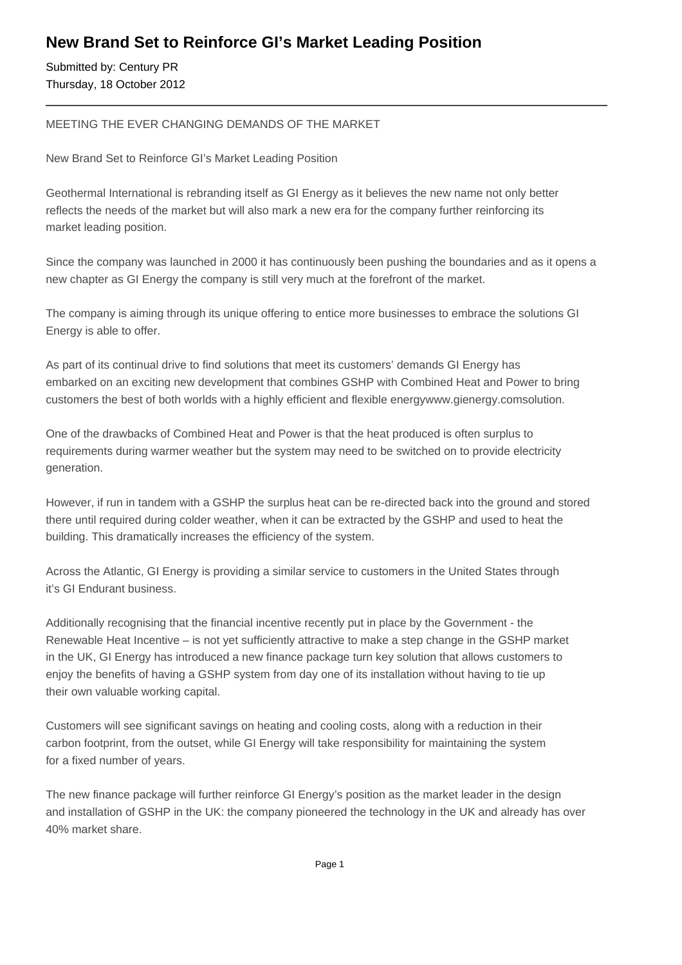## **New Brand Set to Reinforce GI's Market Leading Position**

Submitted by: Century PR Thursday, 18 October 2012

## MEETING THE EVER CHANGING DEMANDS OF THE MARKET

New Brand Set to Reinforce GI's Market Leading Position

Geothermal International is rebranding itself as GI Energy as it believes the new name not only better reflects the needs of the market but will also mark a new era for the company further reinforcing its market leading position.

Since the company was launched in 2000 it has continuously been pushing the boundaries and as it opens a new chapter as GI Energy the company is still very much at the forefront of the market.

The company is aiming through its unique offering to entice more businesses to embrace the solutions GI Energy is able to offer.

As part of its continual drive to find solutions that meet its customers' demands GI Energy has embarked on an exciting new development that combines GSHP with Combined Heat and Power to bring customers the best of both worlds with a highly efficient and flexible energywww.gienergy.comsolution.

One of the drawbacks of Combined Heat and Power is that the heat produced is often surplus to requirements during warmer weather but the system may need to be switched on to provide electricity generation.

However, if run in tandem with a GSHP the surplus heat can be re-directed back into the ground and stored there until required during colder weather, when it can be extracted by the GSHP and used to heat the building. This dramatically increases the efficiency of the system.

Across the Atlantic, GI Energy is providing a similar service to customers in the United States through it's GI Endurant business.

Additionally recognising that the financial incentive recently put in place by the Government - the Renewable Heat Incentive – is not yet sufficiently attractive to make a step change in the GSHP market in the UK, GI Energy has introduced a new finance package turn key solution that allows customers to enjoy the benefits of having a GSHP system from day one of its installation without having to tie up their own valuable working capital.

Customers will see significant savings on heating and cooling costs, along with a reduction in their carbon footprint, from the outset, while GI Energy will take responsibility for maintaining the system for a fixed number of years.

The new finance package will further reinforce GI Energy's position as the market leader in the design and installation of GSHP in the UK: the company pioneered the technology in the UK and already has over 40% market share.